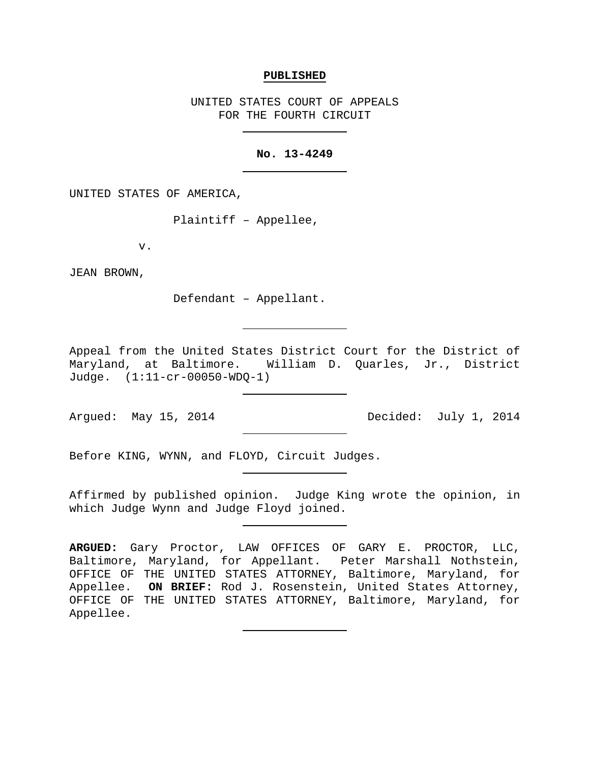#### **PUBLISHED**

UNITED STATES COURT OF APPEALS FOR THE FOURTH CIRCUIT

## **No. 13-4249**

UNITED STATES OF AMERICA,

Plaintiff – Appellee,

v.

JEAN BROWN,

Defendant – Appellant.

Appeal from the United States District Court for the District of Maryland, at Baltimore. William D. Quarles, Jr., District Judge. (1:11-cr-00050-WDQ-1)

Argued: May 15, 2014 **Decided:** July 1, 2014

Before KING, WYNN, and FLOYD, Circuit Judges.

Affirmed by published opinion. Judge King wrote the opinion, in which Judge Wynn and Judge Floyd joined.

**ARGUED:** Gary Proctor, LAW OFFICES OF GARY E. PROCTOR, LLC, Baltimore, Maryland, for Appellant. Peter Marshall Nothstein, OFFICE OF THE UNITED STATES ATTORNEY, Baltimore, Maryland, for Appellee. **ON BRIEF:** Rod J. Rosenstein, United States Attorney, OFFICE OF THE UNITED STATES ATTORNEY, Baltimore, Maryland, for Appellee.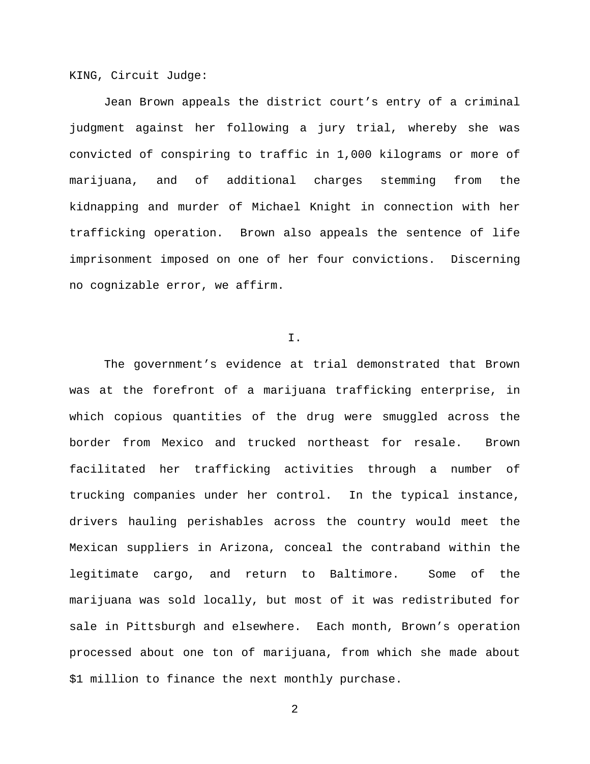KING, Circuit Judge:

Jean Brown appeals the district court's entry of a criminal judgment against her following a jury trial, whereby she was convicted of conspiring to traffic in 1,000 kilograms or more of marijuana, and of additional charges stemming from the kidnapping and murder of Michael Knight in connection with her trafficking operation. Brown also appeals the sentence of life imprisonment imposed on one of her four convictions. Discerning no cognizable error, we affirm.

### I.

The government's evidence at trial demonstrated that Brown was at the forefront of a marijuana trafficking enterprise, in which copious quantities of the drug were smuggled across the border from Mexico and trucked northeast for resale. Brown facilitated her trafficking activities through a number of trucking companies under her control. In the typical instance, drivers hauling perishables across the country would meet the Mexican suppliers in Arizona, conceal the contraband within the legitimate cargo, and return to Baltimore. Some of the marijuana was sold locally, but most of it was redistributed for sale in Pittsburgh and elsewhere. Each month, Brown's operation processed about one ton of marijuana, from which she made about \$1 million to finance the next monthly purchase.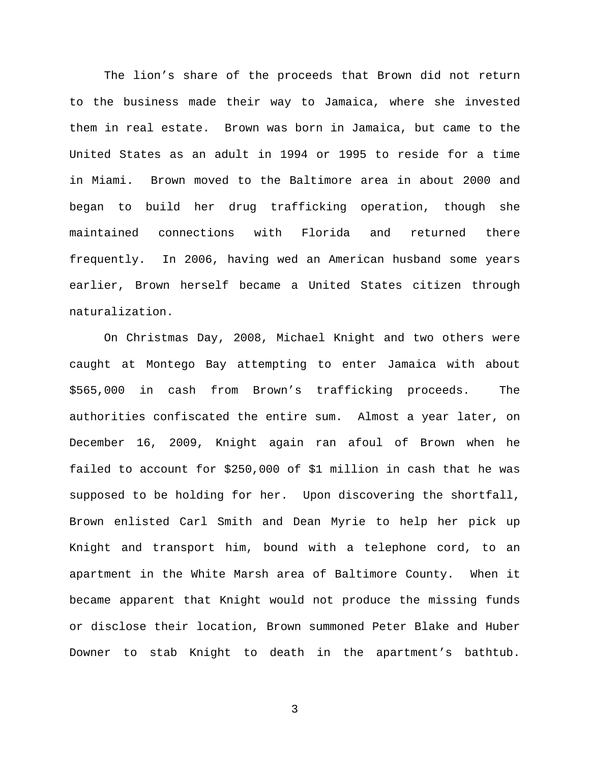The lion's share of the proceeds that Brown did not return to the business made their way to Jamaica, where she invested them in real estate. Brown was born in Jamaica, but came to the United States as an adult in 1994 or 1995 to reside for a time in Miami. Brown moved to the Baltimore area in about 2000 and began to build her drug trafficking operation, though she maintained connections with Florida and returned there frequently. In 2006, having wed an American husband some years earlier, Brown herself became a United States citizen through naturalization.

On Christmas Day, 2008, Michael Knight and two others were caught at Montego Bay attempting to enter Jamaica with about \$565,000 in cash from Brown's trafficking proceeds. The authorities confiscated the entire sum. Almost a year later, on December 16, 2009, Knight again ran afoul of Brown when he failed to account for \$250,000 of \$1 million in cash that he was supposed to be holding for her. Upon discovering the shortfall, Brown enlisted Carl Smith and Dean Myrie to help her pick up Knight and transport him, bound with a telephone cord, to an apartment in the White Marsh area of Baltimore County. When it became apparent that Knight would not produce the missing funds or disclose their location, Brown summoned Peter Blake and Huber Downer to stab Knight to death in the apartment's bathtub.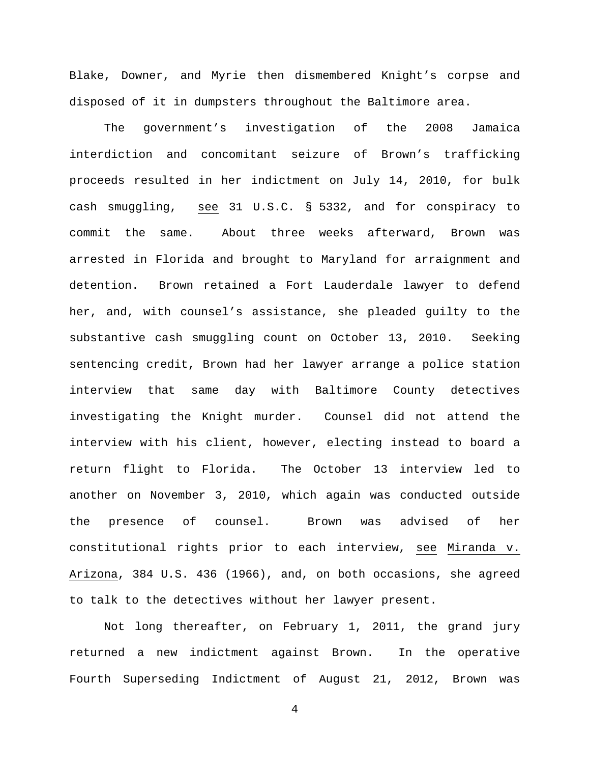Blake, Downer, and Myrie then dismembered Knight's corpse and disposed of it in dumpsters throughout the Baltimore area.

The government's investigation of the 2008 Jamaica interdiction and concomitant seizure of Brown's trafficking proceeds resulted in her indictment on July 14, 2010, for bulk cash smuggling, see 31 U.S.C. § 5332, and for conspiracy to commit the same. About three weeks afterward, Brown was arrested in Florida and brought to Maryland for arraignment and detention. Brown retained a Fort Lauderdale lawyer to defend her, and, with counsel's assistance, she pleaded guilty to the substantive cash smuggling count on October 13, 2010. Seeking sentencing credit, Brown had her lawyer arrange a police station interview that same day with Baltimore County detectives investigating the Knight murder. Counsel did not attend the interview with his client, however, electing instead to board a return flight to Florida. The October 13 interview led to another on November 3, 2010, which again was conducted outside the presence of counsel. Brown was advised of her constitutional rights prior to each interview, see Miranda v. Arizona, 384 U.S. 436 (1966), and, on both occasions, she agreed to talk to the detectives without her lawyer present.

Not long thereafter, on February 1, 2011, the grand jury returned a new indictment against Brown. In the operative Fourth Superseding Indictment of August 21, 2012, Brown was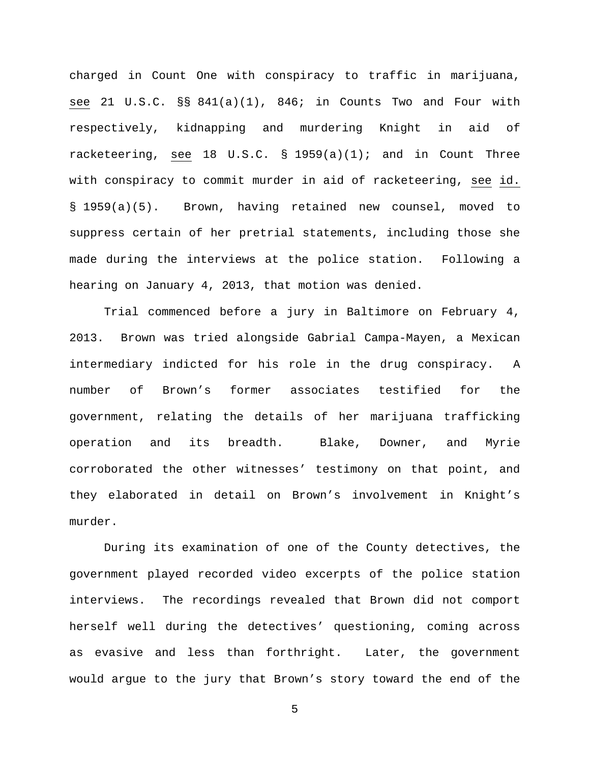charged in Count One with conspiracy to traffic in marijuana, see 21 U.S.C. §§ 841(a)(1), 846; in Counts Two and Four with respectively, kidnapping and murdering Knight in aid of racketeering, see 18 U.S.C.  $\S$  1959(a)(1); and in Count Three with conspiracy to commit murder in aid of racketeering, see id. § 1959(a)(5). Brown, having retained new counsel, moved to suppress certain of her pretrial statements, including those she made during the interviews at the police station. Following a hearing on January 4, 2013, that motion was denied.

Trial commenced before a jury in Baltimore on February 4, 2013. Brown was tried alongside Gabrial Campa-Mayen, a Mexican intermediary indicted for his role in the drug conspiracy. A number of Brown's former associates testified for the government, relating the details of her marijuana trafficking operation and its breadth. Blake, Downer, and Myrie corroborated the other witnesses' testimony on that point, and they elaborated in detail on Brown's involvement in Knight's murder.

During its examination of one of the County detectives, the government played recorded video excerpts of the police station interviews. The recordings revealed that Brown did not comport herself well during the detectives' questioning, coming across as evasive and less than forthright. Later, the government would argue to the jury that Brown's story toward the end of the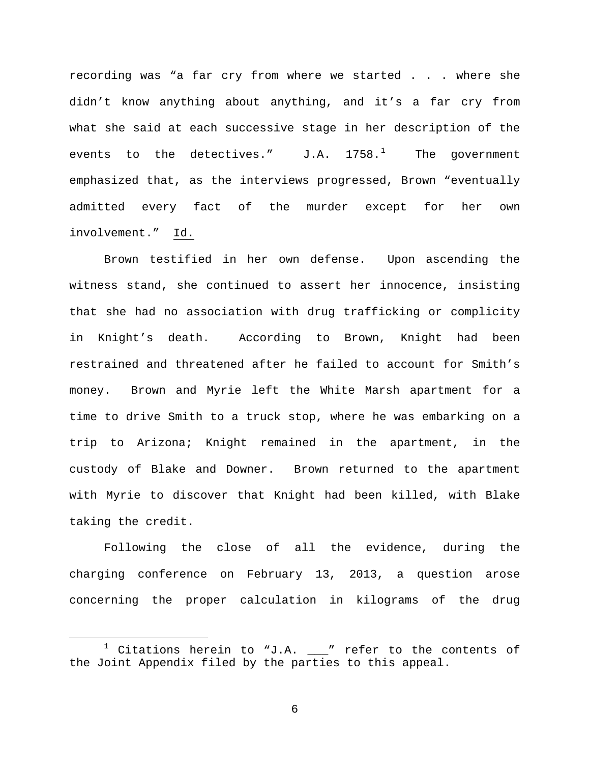recording was "a far cry from where we started . . . where she didn't know anything about anything, and it's a far cry from what she said at each successive stage in her description of the events to the detectives."  $J.A. 1758.^1$  $J.A. 1758.^1$  $J.A. 1758.^1$  The government emphasized that, as the interviews progressed, Brown "eventually admitted every fact of the murder except for her own involvement." Id.

Brown testified in her own defense. Upon ascending the witness stand, she continued to assert her innocence, insisting that she had no association with drug trafficking or complicity in Knight's death. According to Brown, Knight had been restrained and threatened after he failed to account for Smith's money. Brown and Myrie left the White Marsh apartment for a time to drive Smith to a truck stop, where he was embarking on a trip to Arizona; Knight remained in the apartment, in the custody of Blake and Downer. Brown returned to the apartment with Myrie to discover that Knight had been killed, with Blake taking the credit.

Following the close of all the evidence, during the charging conference on February 13, 2013, a question arose concerning the proper calculation in kilograms of the drug

<span id="page-5-0"></span> $1$  Citations herein to "J.A.  $\_\_''$  refer to the contents of the Joint Appendix filed by the parties to this appeal.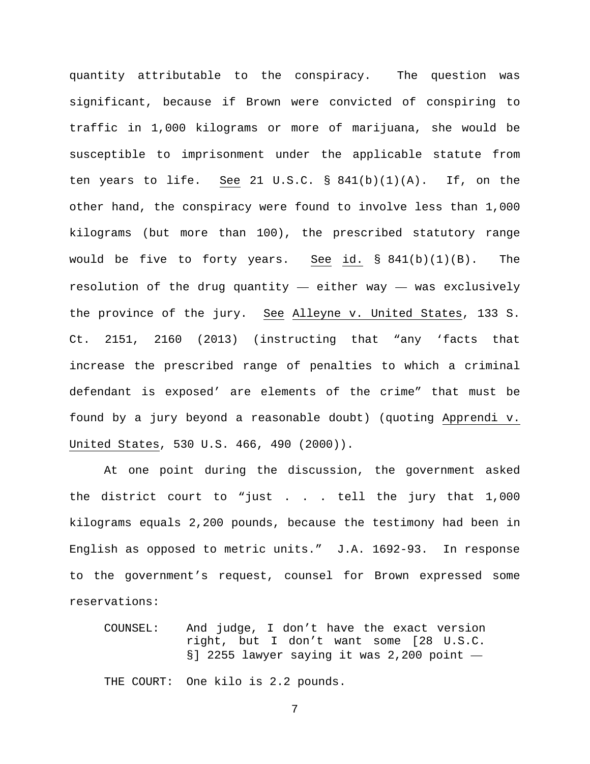quantity attributable to the conspiracy. The question was significant, because if Brown were convicted of conspiring to traffic in 1,000 kilograms or more of marijuana, she would be susceptible to imprisonment under the applicable statute from ten years to life. See 21 U.S.C.  $\S$  841(b)(1)(A). If, on the other hand, the conspiracy were found to involve less than 1,000 kilograms (but more than 100), the prescribed statutory range would be five to forty years. See id.  $\S$  841(b)(1)(B). The resolution of the drug quantity  $-$  either way  $-$  was exclusively the province of the jury. See Alleyne v. United States, 133 S. Ct. 2151, 2160 (2013) (instructing that "any 'facts that increase the prescribed range of penalties to which a criminal defendant is exposed' are elements of the crime" that must be found by a jury beyond a reasonable doubt) (quoting Apprendi v. United States, 530 U.S. 466, 490 (2000)).

At one point during the discussion, the government asked the district court to "just . . . tell the jury that 1,000 kilograms equals 2,200 pounds, because the testimony had been in English as opposed to metric units." J.A. 1692-93. In response to the government's request, counsel for Brown expressed some reservations:

COUNSEL: And judge, I don't have the exact version right, but I don't want some [28 U.S.C. §] 2255 lawyer saying it was 2,200 point -THE COURT: One kilo is 2.2 pounds.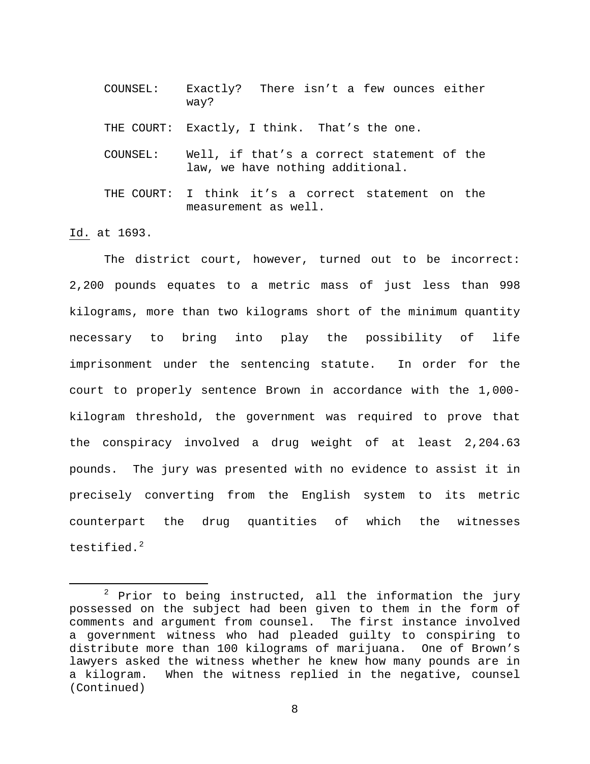COUNSEL: Exactly? There isn't a few ounces either way?

THE COURT: Exactly, I think. That's the one.

- COUNSEL: Well, if that's a correct statement of the law, we have nothing additional.
- THE COURT: I think it's a correct statement on the measurement as well.

Id. at 1693.

The district court, however, turned out to be incorrect: 2,200 pounds equates to a metric mass of just less than 998 kilograms, more than two kilograms short of the minimum quantity necessary to bring into play the possibility of life imprisonment under the sentencing statute. In order for the court to properly sentence Brown in accordance with the 1,000 kilogram threshold, the government was required to prove that the conspiracy involved a drug weight of at least 2,204.63 pounds. The jury was presented with no evidence to assist it in precisely converting from the English system to its metric counterpart the drug quantities of which the witnesses testified. $2$ 

<span id="page-7-0"></span> $2$  Prior to being instructed, all the information the jury possessed on the subject had been given to them in the form of comments and argument from counsel. The first instance involved a government witness who had pleaded guilty to conspiring to distribute more than 100 kilograms of marijuana. One of Brown's lawyers asked the witness whether he knew how many pounds are in a kilogram. When the witness replied in the negative, counsel (Continued)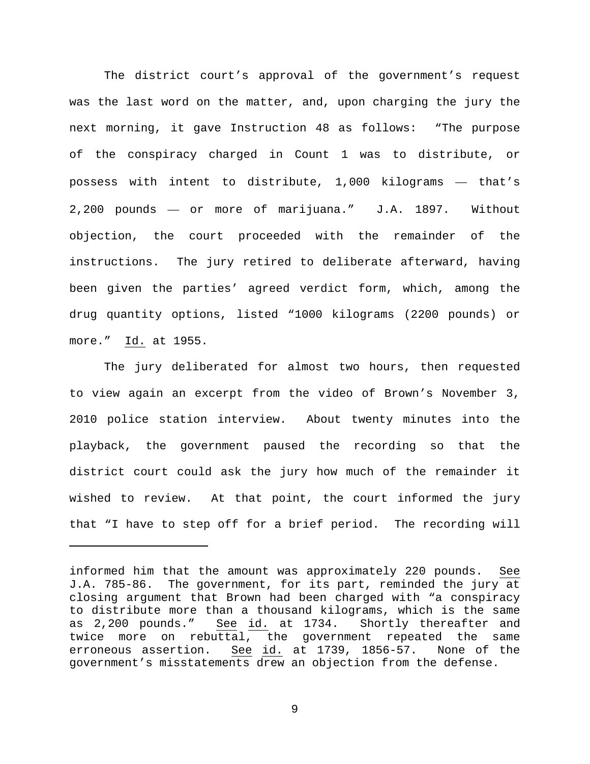The district court's approval of the government's request was the last word on the matter, and, upon charging the jury the next morning, it gave Instruction 48 as follows: "The purpose of the conspiracy charged in Count 1 was to distribute, or possess with intent to distribute, 1,000 kilograms — that's 2,200 pounds — or more of marijuana." J.A. 1897. Without objection, the court proceeded with the remainder of the instructions. The jury retired to deliberate afterward, having been given the parties' agreed verdict form, which, among the drug quantity options, listed "1000 kilograms (2200 pounds) or more." Id. at 1955.

The jury deliberated for almost two hours, then requested to view again an excerpt from the video of Brown's November 3, 2010 police station interview. About twenty minutes into the playback, the government paused the recording so that the district court could ask the jury how much of the remainder it wished to review. At that point, the court informed the jury that "I have to step off for a brief period. The recording will

Ĩ.

informed him that the amount was approximately 220 pounds. See J.A. 785-86. The government, for its part, reminded the jury at closing argument that Brown had been charged with "a conspiracy to distribute more than a thousand kilograms, which is the same as 2,200 pounds." See id. at 1734. Shortly thereafter and twice more on rebuttal, the government repeated the same erroneous assertion. See id. at 1739, 1856-57. None of the government's misstatements drew an objection from the defense.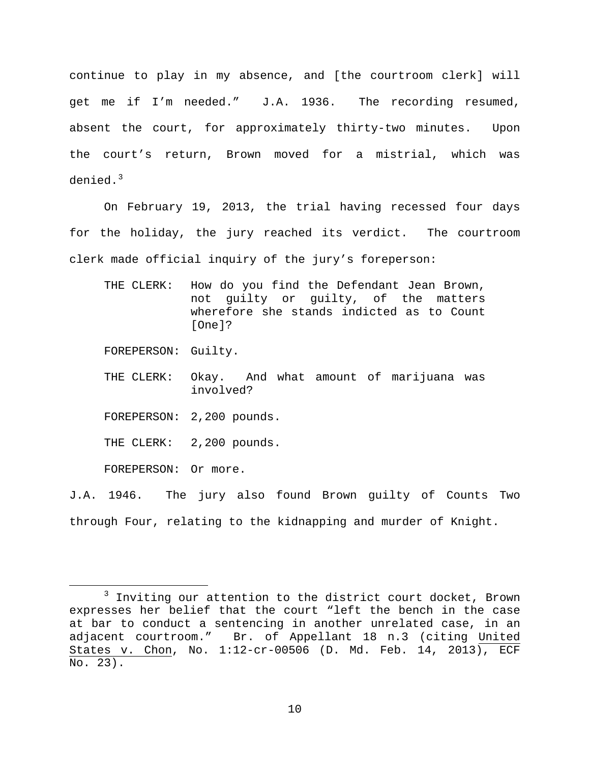continue to play in my absence, and [the courtroom clerk] will get me if I'm needed." J.A. 1936. The recording resumed, absent the court, for approximately thirty-two minutes. Upon the court's return, Brown moved for a mistrial, which was denied.<sup>[3](#page-9-0)</sup>

On February 19, 2013, the trial having recessed four days for the holiday, the jury reached its verdict. The courtroom clerk made official inquiry of the jury's foreperson:

THE CLERK: How do you find the Defendant Jean Brown, not guilty or guilty, of the matters wherefore she stands indicted as to Count [One]?

FOREPERSON: Guilty.

- THE CLERK: Okay. And what amount of marijuana was involved?
- FOREPERSON: 2,200 pounds.

THE CLERK: 2,200 pounds.

FOREPERSON: Or more.

J.A. 1946. The jury also found Brown guilty of Counts Two through Four, relating to the kidnapping and murder of Knight.

<span id="page-9-0"></span> $3$  Inviting our attention to the district court docket, Brown expresses her belief that the court "left the bench in the case at bar to conduct a sentencing in another unrelated case, in an adjacent courtroom." Br. of Appellant 18 n.3 (citing United States v. Chon, No. 1:12-cr-00506 (D. Md. Feb. 14, 2013), ECF No. 23).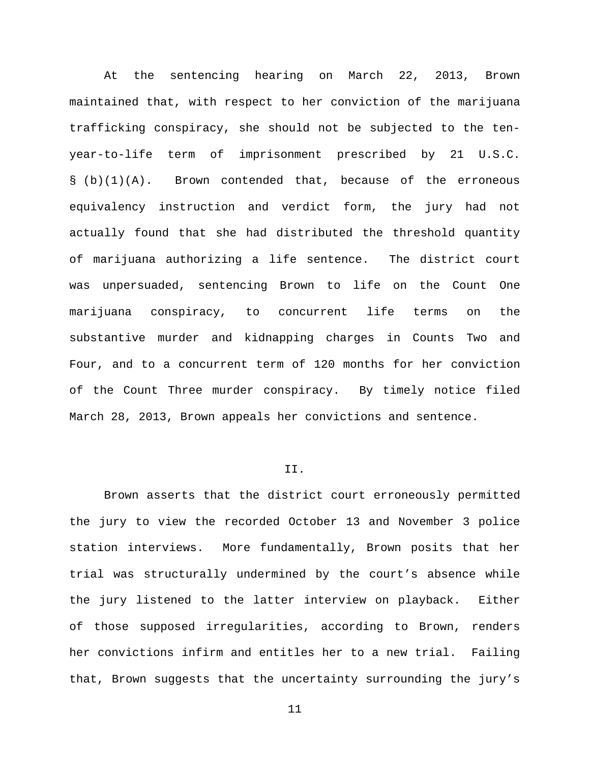At the sentencing hearing on March 22, 2013, Brown maintained that, with respect to her conviction of the marijuana trafficking conspiracy, she should not be subjected to the tenyear-to-life term of imprisonment prescribed by 21 U.S.C.  $\S$  (b)(1)(A). Brown contended that, because of the erroneous equivalency instruction and verdict form, the jury had not actually found that she had distributed the threshold quantity of marijuana authorizing a life sentence. The district court was unpersuaded, sentencing Brown to life on the Count One marijuana conspiracy, to concurrent life terms on the substantive murder and kidnapping charges in Counts Two and Four, and to a concurrent term of 120 months for her conviction of the Count Three murder conspiracy. By timely notice filed March 28, 2013, Brown appeals her convictions and sentence.

## II.

Brown asserts that the district court erroneously permitted the jury to view the recorded October 13 and November 3 police station interviews. More fundamentally, Brown posits that her trial was structurally undermined by the court's absence while the jury listened to the latter interview on playback. Either of those supposed irregularities, according to Brown, renders her convictions infirm and entitles her to a new trial. Failing that, Brown suggests that the uncertainty surrounding the jury's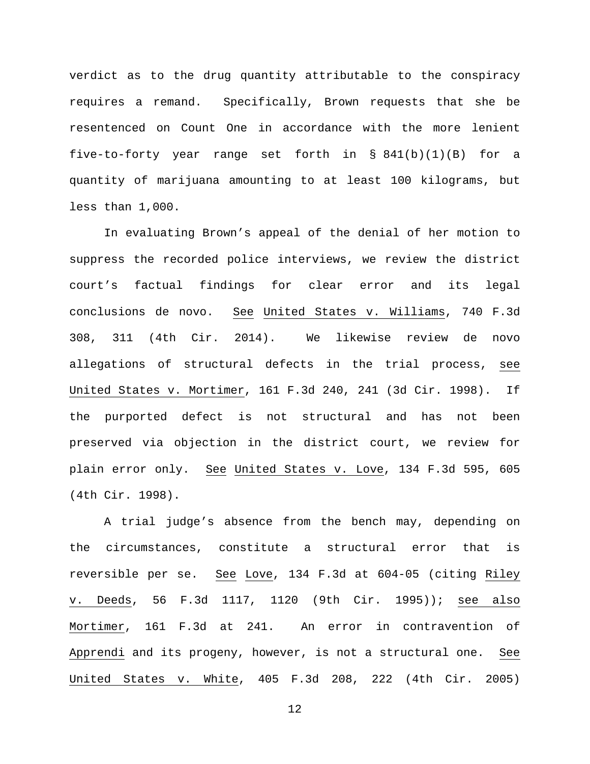verdict as to the drug quantity attributable to the conspiracy requires a remand. Specifically, Brown requests that she be resentenced on Count One in accordance with the more lenient five-to-forty year range set forth in  $\S$  841(b)(1)(B) for a quantity of marijuana amounting to at least 100 kilograms, but less than 1,000.

In evaluating Brown's appeal of the denial of her motion to suppress the recorded police interviews, we review the district court's factual findings for clear error and its legal conclusions de novo. See United States v. Williams, 740 F.3d 308, 311 (4th Cir. 2014). We likewise review de novo allegations of structural defects in the trial process, see United States v. Mortimer, 161 F.3d 240, 241 (3d Cir. 1998). If the purported defect is not structural and has not been preserved via objection in the district court, we review for plain error only. See United States v. Love, 134 F.3d 595, 605 (4th Cir. 1998).

A trial judge's absence from the bench may, depending on the circumstances, constitute a structural error that is reversible per se. See Love, 134 F.3d at 604-05 (citing Riley v. Deeds, 56 F.3d 1117, 1120 (9th Cir. 1995)); see also Mortimer, 161 F.3d at 241. An error in contravention of Apprendi and its progeny, however, is not a structural one. See United States v. White, 405 F.3d 208, 222 (4th Cir. 2005)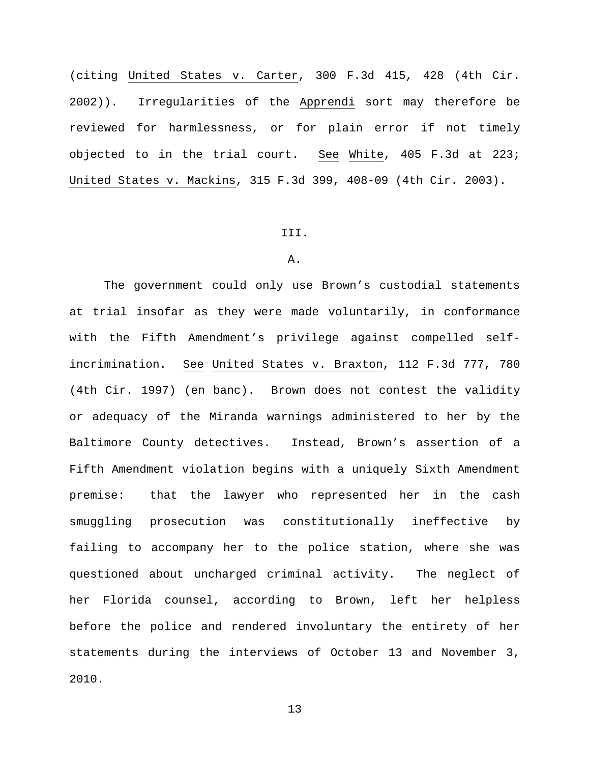(citing United States v. Carter, 300 F.3d 415, 428 (4th Cir. 2002)). Irregularities of the Apprendi sort may therefore be reviewed for harmlessness, or for plain error if not timely objected to in the trial court. See White, 405 F.3d at 223; United States v. Mackins, 315 F.3d 399, 408-09 (4th Cir. 2003).

#### III.

# A.

The government could only use Brown's custodial statements at trial insofar as they were made voluntarily, in conformance with the Fifth Amendment's privilege against compelled selfincrimination. See United States v. Braxton, 112 F.3d 777, 780 (4th Cir. 1997) (en banc). Brown does not contest the validity or adequacy of the Miranda warnings administered to her by the Baltimore County detectives. Instead, Brown's assertion of a Fifth Amendment violation begins with a uniquely Sixth Amendment premise: that the lawyer who represented her in the cash smuggling prosecution was constitutionally ineffective by failing to accompany her to the police station, where she was questioned about uncharged criminal activity. The neglect of her Florida counsel, according to Brown, left her helpless before the police and rendered involuntary the entirety of her statements during the interviews of October 13 and November 3, 2010.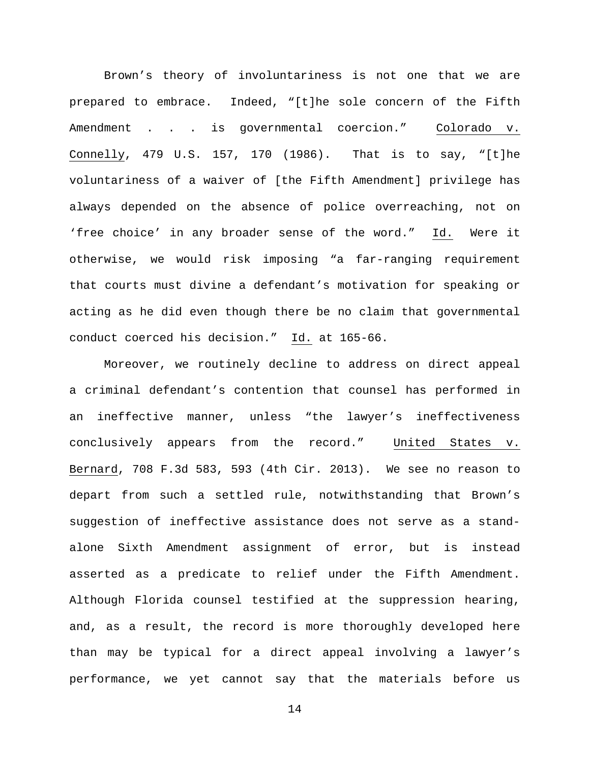Brown's theory of involuntariness is not one that we are prepared to embrace. Indeed, "[t]he sole concern of the Fifth Amendment . . . is governmental coercion." Colorado v. Connelly, 479 U.S. 157, 170 (1986). That is to say, "[t]he voluntariness of a waiver of [the Fifth Amendment] privilege has always depended on the absence of police overreaching, not on 'free choice' in any broader sense of the word." Id. Were it otherwise, we would risk imposing "a far-ranging requirement that courts must divine a defendant's motivation for speaking or acting as he did even though there be no claim that governmental conduct coerced his decision." Id. at 165-66.

Moreover, we routinely decline to address on direct appeal a criminal defendant's contention that counsel has performed in an ineffective manner, unless "the lawyer's ineffectiveness conclusively appears from the record." United States v. Bernard, 708 F.3d 583, 593 (4th Cir. 2013). We see no reason to depart from such a settled rule, notwithstanding that Brown's suggestion of ineffective assistance does not serve as a standalone Sixth Amendment assignment of error, but is instead asserted as a predicate to relief under the Fifth Amendment. Although Florida counsel testified at the suppression hearing, and, as a result, the record is more thoroughly developed here than may be typical for a direct appeal involving a lawyer's performance, we yet cannot say that the materials before us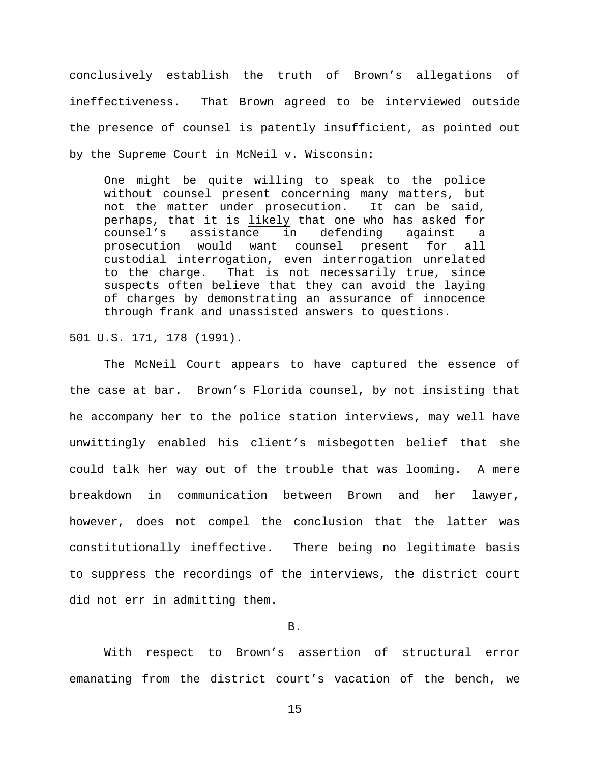conclusively establish the truth of Brown's allegations of ineffectiveness. That Brown agreed to be interviewed outside the presence of counsel is patently insufficient, as pointed out by the Supreme Court in McNeil v. Wisconsin:

One might be quite willing to speak to the police without counsel present concerning many matters, but not the matter under prosecution. It can be said, perhaps, that it is <u>likely</u> that one who has asked for<br>counsel's assistance in defending against a assistance in defending against a prosecution would want counsel present for all custodial interrogation, even interrogation unrelated to the charge. That is not necessarily true, since suspects often believe that they can avoid the laying of charges by demonstrating an assurance of innocence through frank and unassisted answers to questions.

501 U.S. 171, 178 (1991).

The McNeil Court appears to have captured the essence of the case at bar. Brown's Florida counsel, by not insisting that he accompany her to the police station interviews, may well have unwittingly enabled his client's misbegotten belief that she could talk her way out of the trouble that was looming. A mere breakdown in communication between Brown and her lawyer, however, does not compel the conclusion that the latter was constitutionally ineffective. There being no legitimate basis to suppress the recordings of the interviews, the district court did not err in admitting them.

B.

With respect to Brown's assertion of structural error emanating from the district court's vacation of the bench, we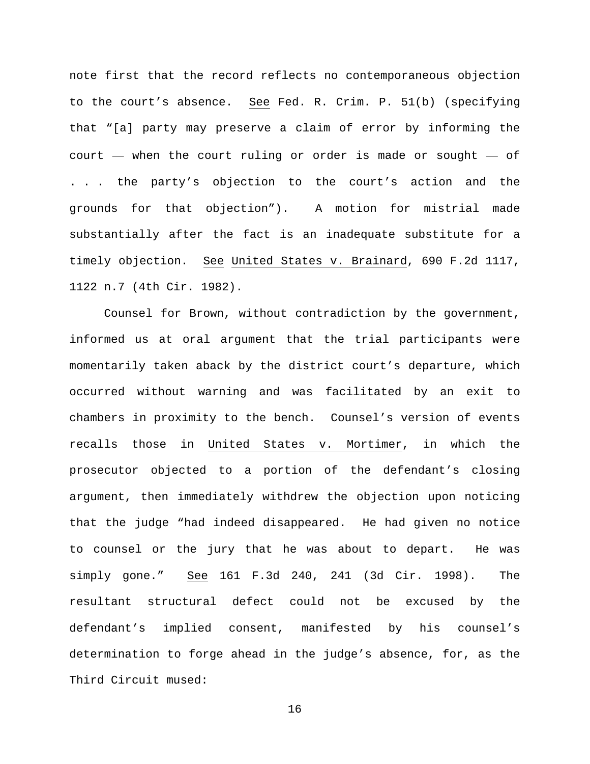note first that the record reflects no contemporaneous objection to the court's absence. See Fed. R. Crim. P. 51(b) (specifying that "[a] party may preserve a claim of error by informing the court — when the court ruling or order is made or sought — of . . . the party's objection to the court's action and the grounds for that objection"). A motion for mistrial made substantially after the fact is an inadequate substitute for a timely objection. See United States v. Brainard, 690 F.2d 1117, 1122 n.7 (4th Cir. 1982).

Counsel for Brown, without contradiction by the government, informed us at oral argument that the trial participants were momentarily taken aback by the district court's departure, which occurred without warning and was facilitated by an exit to chambers in proximity to the bench. Counsel's version of events recalls those in United States v. Mortimer, in which the prosecutor objected to a portion of the defendant's closing argument, then immediately withdrew the objection upon noticing that the judge "had indeed disappeared. He had given no notice to counsel or the jury that he was about to depart. He was simply gone." See 161 F.3d 240, 241 (3d Cir. 1998). The resultant structural defect could not be excused by the defendant's implied consent, manifested by his counsel's determination to forge ahead in the judge's absence, for, as the Third Circuit mused: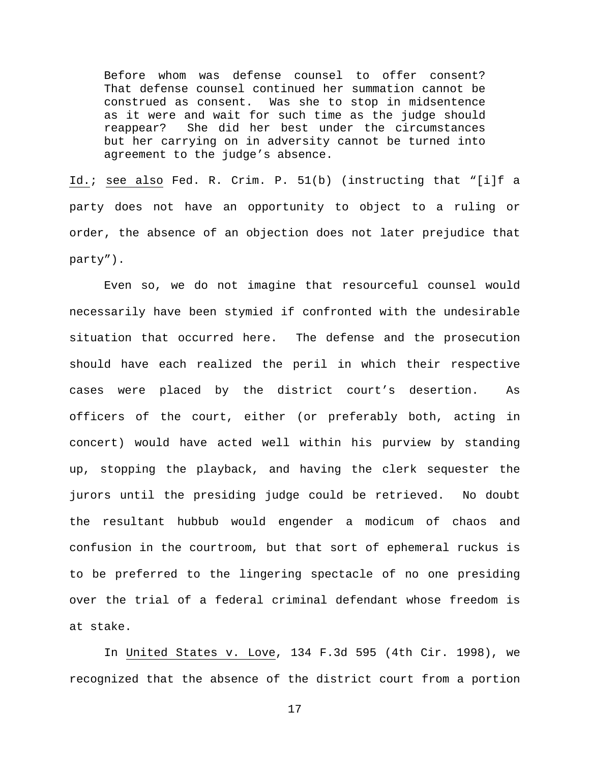Before whom was defense counsel to offer consent? That defense counsel continued her summation cannot be construed as consent. Was she to stop in midsentence as it were and wait for such time as the judge should<br>reappear? She did her best under the circumstances She did her best under the circumstances but her carrying on in adversity cannot be turned into agreement to the judge's absence.

Id.; see also Fed. R. Crim. P. 51(b) (instructing that "[i]f a party does not have an opportunity to object to a ruling or order, the absence of an objection does not later prejudice that party").

Even so, we do not imagine that resourceful counsel would necessarily have been stymied if confronted with the undesirable situation that occurred here. The defense and the prosecution should have each realized the peril in which their respective cases were placed by the district court's desertion. As officers of the court, either (or preferably both, acting in concert) would have acted well within his purview by standing up, stopping the playback, and having the clerk sequester the jurors until the presiding judge could be retrieved. No doubt the resultant hubbub would engender a modicum of chaos and confusion in the courtroom, but that sort of ephemeral ruckus is to be preferred to the lingering spectacle of no one presiding over the trial of a federal criminal defendant whose freedom is at stake.

In United States v. Love, 134 F.3d 595 (4th Cir. 1998), we recognized that the absence of the district court from a portion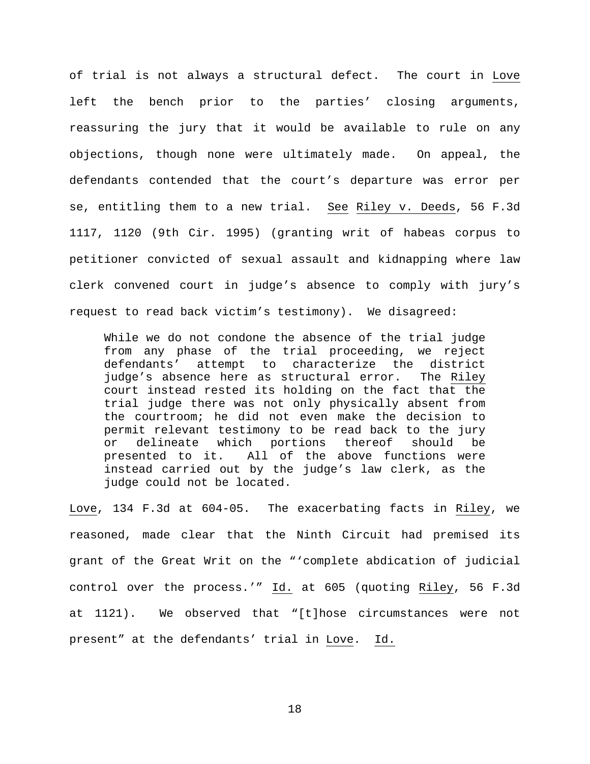of trial is not always a structural defect. The court in Love left the bench prior to the parties' closing arguments, reassuring the jury that it would be available to rule on any objections, though none were ultimately made. On appeal, the defendants contended that the court's departure was error per se, entitling them to a new trial. See Riley v. Deeds, 56 F.3d 1117, 1120 (9th Cir. 1995) (granting writ of habeas corpus to petitioner convicted of sexual assault and kidnapping where law clerk convened court in judge's absence to comply with jury's request to read back victim's testimony). We disagreed:

While we do not condone the absence of the trial judge from any phase of the trial proceeding, we reject defendants' attempt to characterize the district judge's absence here as structural error. The Riley court instead rested its holding on the fact that the trial judge there was not only physically absent from the courtroom; he did not even make the decision to permit relevant testimony to be read back to the jury or delineate which portions thereof should be<br>presented to it. All of the above functions were All of the above functions were instead carried out by the judge's law clerk, as the judge could not be located.

Love, 134 F.3d at 604-05. The exacerbating facts in Riley, we reasoned, made clear that the Ninth Circuit had premised its grant of the Great Writ on the "'complete abdication of judicial control over the process.'" Id. at 605 (quoting Riley, 56 F.3d at 1121). We observed that "[t]hose circumstances were not present" at the defendants' trial in Love. Id.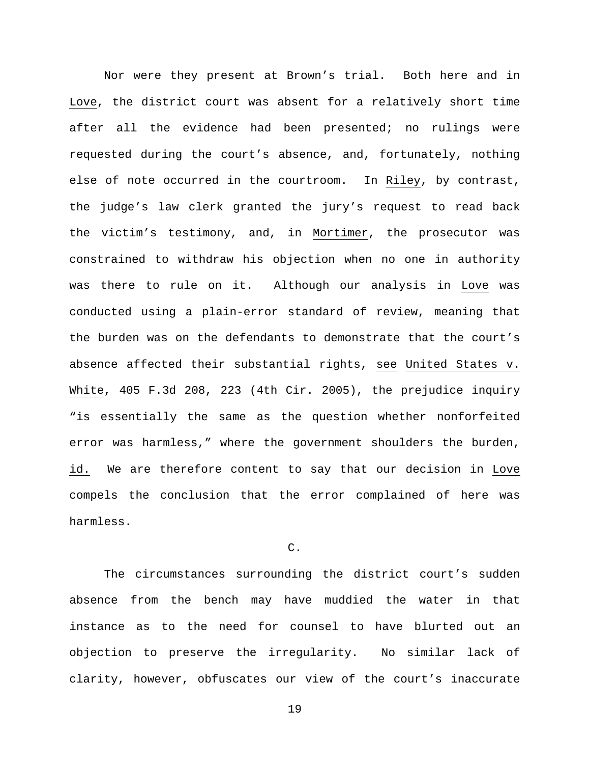Nor were they present at Brown's trial. Both here and in Love, the district court was absent for a relatively short time after all the evidence had been presented; no rulings were requested during the court's absence, and, fortunately, nothing else of note occurred in the courtroom. In Riley, by contrast, the judge's law clerk granted the jury's request to read back the victim's testimony, and, in Mortimer, the prosecutor was constrained to withdraw his objection when no one in authority was there to rule on it. Although our analysis in Love was conducted using a plain-error standard of review, meaning that the burden was on the defendants to demonstrate that the court's absence affected their substantial rights, see United States v. White, 405 F.3d 208, 223 (4th Cir. 2005), the prejudice inquiry "is essentially the same as the question whether nonforfeited error was harmless," where the government shoulders the burden, id. We are therefore content to say that our decision in Love compels the conclusion that the error complained of here was harmless.

C.

The circumstances surrounding the district court's sudden absence from the bench may have muddied the water in that instance as to the need for counsel to have blurted out an objection to preserve the irregularity. No similar lack of clarity, however, obfuscates our view of the court's inaccurate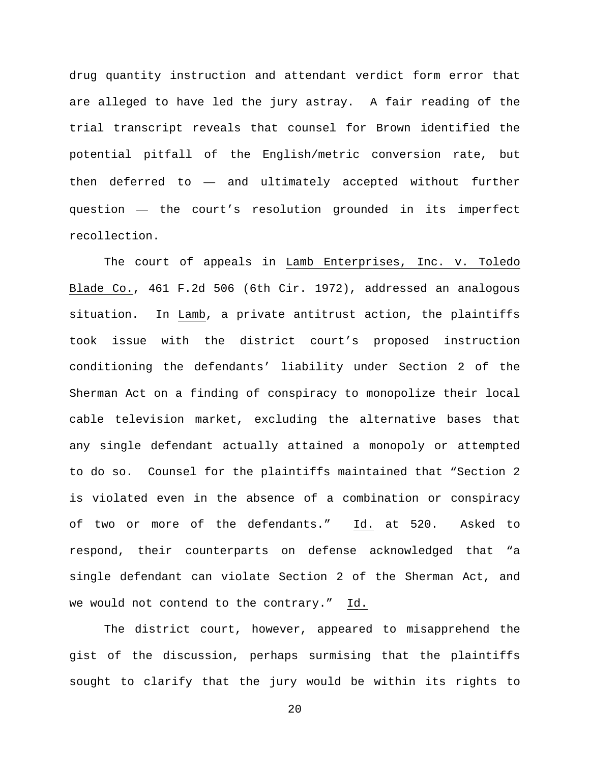drug quantity instruction and attendant verdict form error that are alleged to have led the jury astray. A fair reading of the trial transcript reveals that counsel for Brown identified the potential pitfall of the English/metric conversion rate, but then deferred to — and ultimately accepted without further question — the court's resolution grounded in its imperfect recollection.

The court of appeals in Lamb Enterprises, Inc. v. Toledo Blade Co., 461 F.2d 506 (6th Cir. 1972), addressed an analogous situation. In Lamb, a private antitrust action, the plaintiffs took issue with the district court's proposed instruction conditioning the defendants' liability under Section 2 of the Sherman Act on a finding of conspiracy to monopolize their local cable television market, excluding the alternative bases that any single defendant actually attained a monopoly or attempted to do so. Counsel for the plaintiffs maintained that "Section 2 is violated even in the absence of a combination or conspiracy of two or more of the defendants." Id. at 520. Asked to respond, their counterparts on defense acknowledged that "a single defendant can violate Section 2 of the Sherman Act, and we would not contend to the contrary." Id.

The district court, however, appeared to misapprehend the gist of the discussion, perhaps surmising that the plaintiffs sought to clarify that the jury would be within its rights to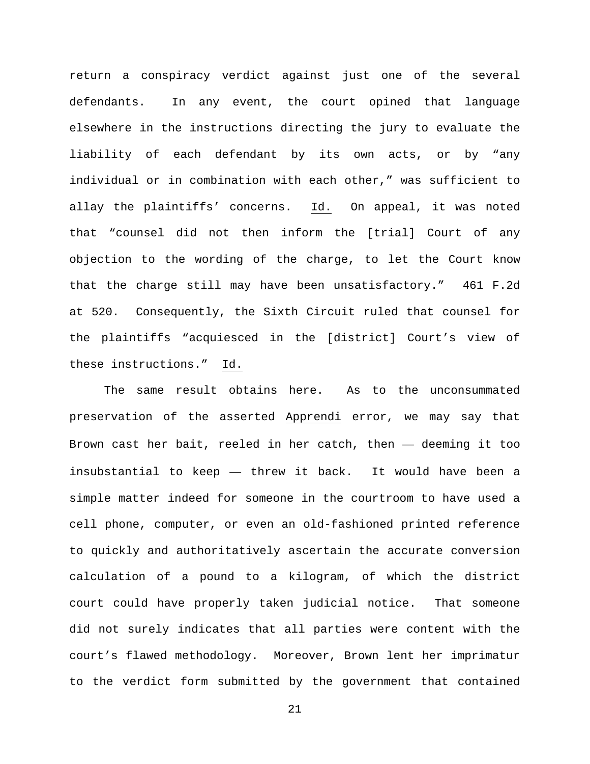return a conspiracy verdict against just one of the several defendants. In any event, the court opined that language elsewhere in the instructions directing the jury to evaluate the liability of each defendant by its own acts, or by "any individual or in combination with each other," was sufficient to allay the plaintiffs' concerns. Id. On appeal, it was noted that "counsel did not then inform the [trial] Court of any objection to the wording of the charge, to let the Court know that the charge still may have been unsatisfactory." 461 F.2d at 520. Consequently, the Sixth Circuit ruled that counsel for the plaintiffs "acquiesced in the [district] Court's view of these instructions." Id.

The same result obtains here. As to the unconsummated preservation of the asserted Apprendi error, we may say that Brown cast her bait, reeled in her catch, then — deeming it too insubstantial to keep — threw it back. It would have been a simple matter indeed for someone in the courtroom to have used a cell phone, computer, or even an old-fashioned printed reference to quickly and authoritatively ascertain the accurate conversion calculation of a pound to a kilogram, of which the district court could have properly taken judicial notice. That someone did not surely indicates that all parties were content with the court's flawed methodology. Moreover, Brown lent her imprimatur to the verdict form submitted by the government that contained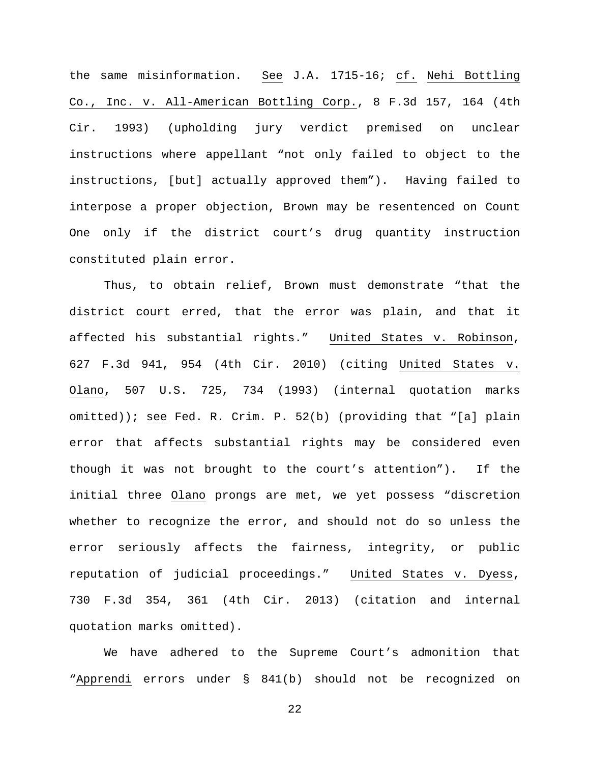the same misinformation. See J.A. 1715-16; cf. Nehi Bottling Co., Inc. v. All-American Bottling Corp., 8 F.3d 157, 164 (4th Cir. 1993) (upholding jury verdict premised on unclear instructions where appellant "not only failed to object to the instructions, [but] actually approved them"). Having failed to interpose a proper objection, Brown may be resentenced on Count One only if the district court's drug quantity instruction constituted plain error.

Thus, to obtain relief, Brown must demonstrate "that the district court erred, that the error was plain, and that it affected his substantial rights." United States v. Robinson, 627 F.3d 941, 954 (4th Cir. 2010) (citing United States v. Olano, 507 U.S. 725, 734 (1993) (internal quotation marks omitted)); see Fed. R. Crim. P. 52(b) (providing that "[a] plain error that affects substantial rights may be considered even though it was not brought to the court's attention"). If the initial three Olano prongs are met, we yet possess "discretion whether to recognize the error, and should not do so unless the error seriously affects the fairness, integrity, or public reputation of judicial proceedings." United States v. Dyess, 730 F.3d 354, 361 (4th Cir. 2013) (citation and internal quotation marks omitted).

We have adhered to the Supreme Court's admonition that "Apprendi errors under § 841(b) should not be recognized on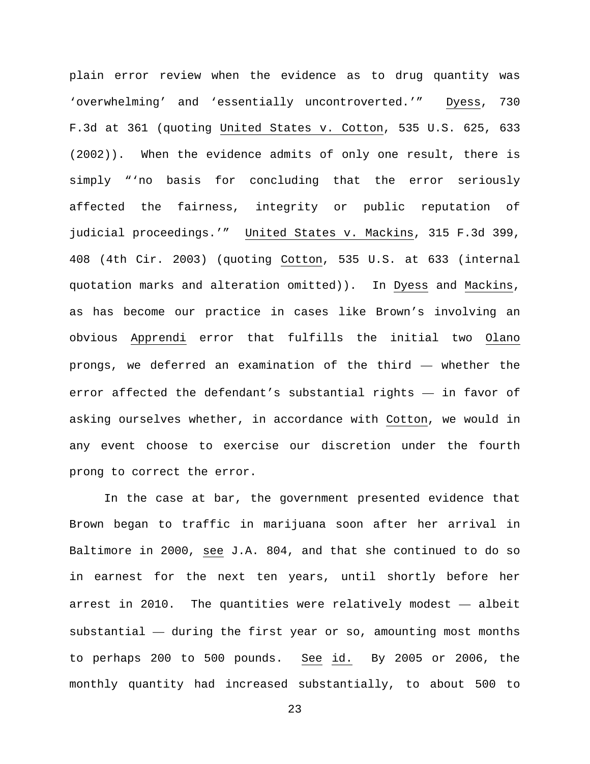plain error review when the evidence as to drug quantity was 'overwhelming' and 'essentially uncontroverted.'" Dyess, 730 F.3d at 361 (quoting United States v. Cotton, 535 U.S. 625, 633 (2002)). When the evidence admits of only one result, there is simply "'no basis for concluding that the error seriously affected the fairness, integrity or public reputation of judicial proceedings.'" United States v. Mackins, 315 F.3d 399, 408 (4th Cir. 2003) (quoting Cotton, 535 U.S. at 633 (internal quotation marks and alteration omitted)). In Dyess and Mackins, as has become our practice in cases like Brown's involving an obvious Apprendi error that fulfills the initial two Olano prongs, we deferred an examination of the third — whether the error affected the defendant's substantial rights — in favor of asking ourselves whether, in accordance with Cotton, we would in any event choose to exercise our discretion under the fourth prong to correct the error.

In the case at bar, the government presented evidence that Brown began to traffic in marijuana soon after her arrival in Baltimore in 2000, see J.A. 804, and that she continued to do so in earnest for the next ten years, until shortly before her arrest in 2010. The quantities were relatively modest — albeit substantial — during the first year or so, amounting most months to perhaps 200 to 500 pounds. See id. By 2005 or 2006, the monthly quantity had increased substantially, to about 500 to